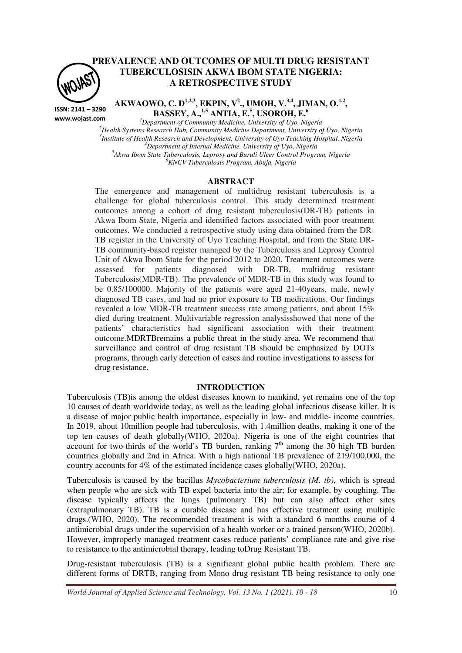

**ISSN: 2141 – 3290 www.wojast.com**

# **PREVALENCE AND OUTCOMES OF MULTI DRUG RESISTANT TUBERCULOSISIN AKWA IBOM STATE NIGERIA: A RETROSPECTIVE STUDY**

**AKWAOWO, C. D1,2,3, EKPIN, V<sup>2</sup> ., UMOH, V.3,4, JIMAN, O.1,2 , BASSEY, A.,1,5 ANTIA, E.<sup>5</sup> , USOROH, E.<sup>6</sup>**

*Department of Community Medicine, University of Uyo, Nigeria Health Systems Research Hub, Community Medicine Department, University of Uyo, Nigeria Institute of Health Research and Development, University of Uyo Teaching Hospital, Nigeria Department of Internal Medicine, University of Uyo, Nigeria Akwa Ibom State Tuberculosis, Leprosy and Buruli Ulcer Control Program, Nigeria KNCV Tuberculosis Program, Abuja, Nigeria* 

### **ABSTRACT**

The emergence and management of multidrug resistant tuberculosis is a challenge for global tuberculosis control. This study determined treatment outcomes among a cohort of drug resistant tuberculosis(DR-TB) patients in Akwa Ibom State, Nigeria and identified factors associated with poor treatment outcomes*.* We conducted a retrospective study using data obtained from the DR-TB register in the University of Uyo Teaching Hospital, and from the State DR-TB community-based register managed by the Tuberculosis and Leprosy Control Unit of Akwa Ibom State for the period 2012 to 2020. Treatment outcomes were assessed for patients diagnosed with DR-TB, multidrug resistant Tuberculosis(MDR-TB). The prevalence of MDR-TB in this study was found to be 0.85/100000. Majority of the patients were aged 21-40years, male, newly diagnosed TB cases, and had no prior exposure to TB medications. Our findings revealed a low MDR-TB treatment success rate among patients, and about 15% died during treatment. Multivariable regression analysisshowed that none of the patients' characteristics had significant association with their treatment outcome.MDRTBremains a public threat in the study area. We recommend that surveillance and control of drug resistant TB should be emphasized by DOTs programs, through early detection of cases and routine investigations to assess for drug resistance.

#### **INTRODUCTION**

Tuberculosis (TB)is among the oldest diseases known to mankind, yet remains one of the top 10 causes of death worldwide today, as well as the leading global infectious disease killer. It is a disease of major public health importance, especially in low- and middle- income countries. In 2019, about 10million people had tuberculosis, with 1.4million deaths, making it one of the top ten causes of death globally(WHO, 2020a). Nigeria is one of the eight countries that account for two-thirds of the world's TB burden, ranking  $7<sup>th</sup>$  among the 30 high TB burden countries globally and 2nd in Africa. With a high national TB prevalence of 219/100,000, the country accounts for 4% of the estimated incidence cases globally(WHO, 2020a).

Tuberculosis is caused by the bacillus *Mycobacterium tuberculosis (M. tb)*, which is spread when people who are sick with TB expel bacteria into the air; for example, by coughing. The disease typically affects the lungs (pulmonary TB) but can also affect other sites (extrapulmonary TB). TB is a curable disease and has effective treatment using multiple drugs.(WHO, 2020). The recommended treatment is with a standard 6 months course of 4 antimicrobial drugs under the supervision of a health worker or a trained person(WHO, 2020b). However, improperly managed treatment cases reduce patients' compliance rate and give rise to resistance to the antimicrobial therapy, leading toDrug Resistant TB.

Drug-resistant tuberculosis (TB) is a significant global public health problem. There are different forms of DRTB, ranging from Mono drug-resistant TB being resistance to only one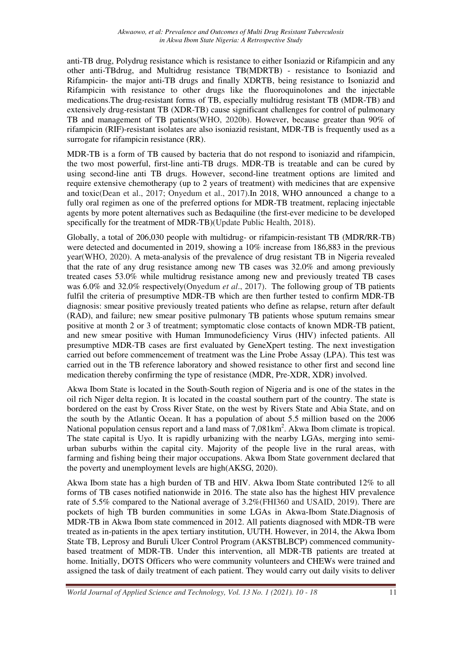anti-TB drug, Polydrug resistance which is resistance to either Isoniazid or Rifampicin and any other anti-TBdrug, and Multidrug resistance TB(MDRTB) - resistance to Isoniazid and Rifampicin- the major anti-TB drugs and finally XDRTB, being resistance to Isoniazid and Rifampicin with resistance to other drugs like the fluoroquinolones and the injectable medications.The drug-resistant forms of TB, especially multidrug resistant TB (MDR-TB) and extensively drug-resistant TB (XDR-TB) cause significant challenges for control of pulmonary TB and management of TB patients(WHO, 2020b). However, because greater than 90% of rifampicin (RIF)-resistant isolates are also isoniazid resistant, MDR-TB is frequently used as a surrogate for rifampicin resistance (RR).

MDR-TB is a form of TB caused by bacteria that do not respond to isoniazid and rifampicin, the two most powerful, first-line anti-TB drugs. MDR-TB is treatable and can be cured by using second-line anti TB drugs. However, second-line treatment options are limited and require extensive chemotherapy (up to 2 years of treatment) with medicines that are expensive and toxic(Dean et al., 2017; Onyedum et al., 2017).In 2018, WHO announced a change to a fully oral regimen as one of the preferred options for MDR-TB treatment, replacing injectable agents by more potent alternatives such as Bedaquiline (the first-ever medicine to be developed specifically for the treatment of MDR-TB)(Update Public Health, 2018).

Globally, a total of 206,030 people with multidrug- or rifampicin-resistant TB (MDR/RR-TB) were detected and documented in 2019, showing a 10% increase from 186,883 in the previous year(WHO, 2020). A meta-analysis of the prevalence of drug resistant TB in Nigeria revealed that the rate of any drug resistance among new TB cases was 32.0% and among previously treated cases 53.0% while multidrug resistance among new and previously treated TB cases was 6.0% and 32.0% respectively(Onyedum *et al*., 2017). The following group of TB patients fulfil the criteria of presumptive MDR-TB which are then further tested to confirm MDR-TB diagnosis: smear positive previously treated patients who define as relapse, return after default (RAD), and failure; new smear positive pulmonary TB patients whose sputum remains smear positive at month 2 or 3 of treatment; symptomatic close contacts of known MDR-TB patient, and new smear positive with Human Immunodeficiency Virus (HIV) infected patients. All presumptive MDR-TB cases are first evaluated by GeneXpert testing. The next investigation carried out before commencement of treatment was the Line Probe Assay (LPA). This test was carried out in the TB reference laboratory and showed resistance to other first and second line medication thereby confirming the type of resistance (MDR, Pre-XDR, XDR) involved.

Akwa Ibom State is located in the South-South region of Nigeria and is one of the states in the oil rich Niger delta region. It is located in the coastal southern part of the country. The state is bordered on the east by Cross River State, on the west by Rivers State and Abia State, and on the south by the Atlantic Ocean. It has a population of about 5.5 million based on the 2006 National population census report and a land mass of 7,081 km<sup>2</sup>. Akwa Ibom climate is tropical. The state capital is Uyo. It is rapidly urbanizing with the nearby LGAs, merging into semiurban suburbs within the capital city. Majority of the people live in the rural areas, with farming and fishing being their major occupations. Akwa Ibom State government declared that the poverty and unemployment levels are high(AKSG, 2020).

Akwa Ibom state has a high burden of TB and HIV. Akwa Ibom State contributed 12% to all forms of TB cases notified nationwide in 2016. The state also has the highest HIV prevalence rate of 5.5% compared to the National average of 3.2%(FHI360 and USAID, 2019). There are pockets of high TB burden communities in some LGAs in Akwa-Ibom State.Diagnosis of MDR-TB in Akwa Ibom state commenced in 2012. All patients diagnosed with MDR-TB were treated as in-patients in the apex tertiary institution, UUTH. However, in 2014, the Akwa Ibom State TB, Leprosy and Buruli Ulcer Control Program (AKSTBLBCP) commenced communitybased treatment of MDR-TB. Under this intervention, all MDR-TB patients are treated at home. Initially, DOTS Officers who were community volunteers and CHEWs were trained and assigned the task of daily treatment of each patient. They would carry out daily visits to deliver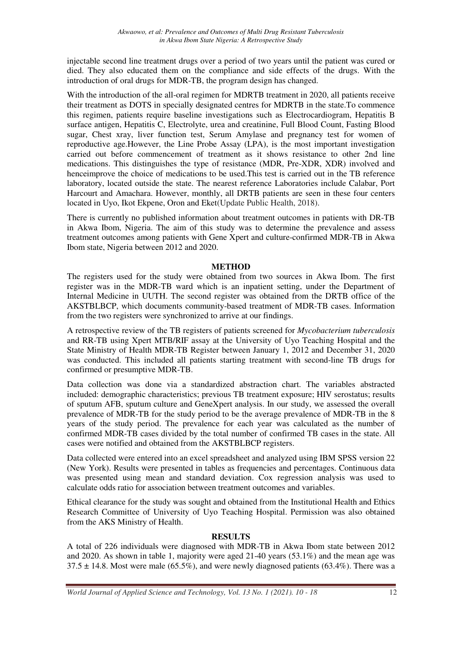injectable second line treatment drugs over a period of two years until the patient was cured or died. They also educated them on the compliance and side effects of the drugs. With the introduction of oral drugs for MDR-TB, the program design has changed.

With the introduction of the all-oral regimen for MDRTB treatment in 2020, all patients receive their treatment as DOTS in specially designated centres for MDRTB in the state.To commence this regimen, patients require baseline investigations such as Electrocardiogram, Hepatitis B surface antigen, Hepatitis C, Electrolyte, urea and creatinine, Full Blood Count, Fasting Blood sugar, Chest xray, liver function test, Serum Amylase and pregnancy test for women of reproductive age.However, the Line Probe Assay (LPA), is the most important investigation carried out before commencement of treatment as it shows resistance to other 2nd line medications. This distinguishes the type of resistance (MDR, Pre-XDR, XDR) involved and henceimprove the choice of medications to be used.This test is carried out in the TB reference laboratory, located outside the state. The nearest reference Laboratories include Calabar, Port Harcourt and Amachara. However, monthly, all DRTB patients are seen in these four centers located in Uyo, Ikot Ekpene, Oron and Eket(Update Public Health, 2018).

There is currently no published information about treatment outcomes in patients with DR-TB in Akwa Ibom, Nigeria. The aim of this study was to determine the prevalence and assess treatment outcomes among patients with Gene Xpert and culture-confirmed MDR-TB in Akwa Ibom state, Nigeria between 2012 and 2020.

### **METHOD**

The registers used for the study were obtained from two sources in Akwa Ibom. The first register was in the MDR-TB ward which is an inpatient setting, under the Department of Internal Medicine in UUTH. The second register was obtained from the DRTB office of the AKSTBLBCP, which documents community-based treatment of MDR-TB cases. Information from the two registers were synchronized to arrive at our findings.

A retrospective review of the TB registers of patients screened for *Mycobacterium tuberculosis* and RR-TB using Xpert MTB/RIF assay at the University of Uyo Teaching Hospital and the State Ministry of Health MDR-TB Register between January 1, 2012 and December 31, 2020 was conducted. This included all patients starting treatment with second-line TB drugs for confirmed or presumptive MDR-TB.

Data collection was done via a standardized abstraction chart. The variables abstracted included: demographic characteristics; previous TB treatment exposure; HIV serostatus; results of sputum AFB, sputum culture and GeneXpert analysis. In our study, we assessed the overall prevalence of MDR-TB for the study period to be the average prevalence of MDR-TB in the 8 years of the study period. The prevalence for each year was calculated as the number of confirmed MDR-TB cases divided by the total number of confirmed TB cases in the state. All cases were notified and obtained from the AKSTBLBCP registers.

Data collected were entered into an excel spreadsheet and analyzed using IBM SPSS version 22 (New York). Results were presented in tables as frequencies and percentages. Continuous data was presented using mean and standard deviation. Cox regression analysis was used to calculate odds ratio for association between treatment outcomes and variables.

Ethical clearance for the study was sought and obtained from the Institutional Health and Ethics Research Committee of University of Uyo Teaching Hospital. Permission was also obtained from the AKS Ministry of Health.

## **RESULTS**

A total of 226 individuals were diagnosed with MDR-TB in Akwa Ibom state between 2012 and 2020. As shown in table 1, majority were aged 21-40 years (53.1%) and the mean age was  $37.5 \pm 14.8$ . Most were male (65.5%), and were newly diagnosed patients (63.4%). There was a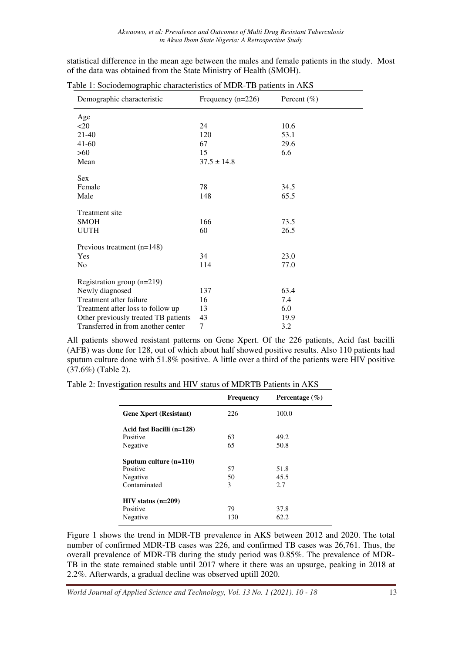statistical difference in the mean age between the males and female patients in the study. Most of the data was obtained from the State Ministry of Health (SMOH).

| Demographic characteristic           | Frequency $(n=226)$ | Percent $(\% )$ |
|--------------------------------------|---------------------|-----------------|
| Age                                  |                     |                 |
| <20                                  | 24                  | 10.6            |
| $21-40$                              | 120                 | 53.1            |
| $41-60$                              | 67                  | 29.6            |
| $>60$                                | 15                  | 6.6             |
| Mean                                 | $37.5 \pm 14.8$     |                 |
| <b>Sex</b>                           |                     |                 |
| Female                               | 78                  | 34.5            |
| Male                                 | 148                 | 65.5            |
| Treatment site                       |                     |                 |
| <b>SMOH</b>                          | 166                 | 73.5            |
| <b>UUTH</b>                          | 60                  | 26.5            |
| Previous treatment $(n=148)$         |                     |                 |
| <b>Yes</b>                           | 34                  | 23.0            |
| N <sub>0</sub>                       | 114                 | 77.0            |
| Registration group $(n=219)$         |                     |                 |
| Newly diagnosed                      | 137                 | 63.4            |
| Treatment after failure              | 16                  | 7.4             |
| Treatment after loss to follow up    | 13                  | 6.0             |
| Other previously treated TB patients | 43                  | 19.9            |
| Transferred in from another center   | 7                   | 3.2             |

Table 1: Sociodemographic characteristics of MDR-TB patients in AKS

All patients showed resistant patterns on Gene Xpert. Of the 226 patients, Acid fast bacilli (AFB) was done for 128, out of which about half showed positive results. Also 110 patients had sputum culture done with 51.8% positive. A little over a third of the patients were HIV positive (37.6%) (Table 2).

Table 2: Investigation results and HIV status of MDRTB Patients in AKS

|                               | <b>Frequency</b> | Percentage $(\% )$ |
|-------------------------------|------------------|--------------------|
| <b>Gene Xpert (Resistant)</b> | 226              | 100.0              |
| Acid fast Bacilli (n=128)     |                  |                    |
| Positive                      | 63               | 49.2               |
| Negative                      | 65               | 50.8               |
| Sputum culture $(n=110)$      |                  |                    |
| Positive                      | 57               | 51.8               |
| Negative                      | 50               | 45.5               |
| Contaminated                  | 3                | 2.7                |
| $HIV$ status (n=209)          |                  |                    |
| Positive                      | 79               | 37.8               |
| Negative                      | 130              | 62.2               |

Figure 1 shows the trend in MDR-TB prevalence in AKS between 2012 and 2020. The total number of confirmed MDR-TB cases was 226, and confirmed TB cases was 26,761. Thus, the overall prevalence of MDR-TB during the study period was 0.85%. The prevalence of MDR-TB in the state remained stable until 2017 where it there was an upsurge, peaking in 2018 at 2.2%. Afterwards, a gradual decline was observed uptill 2020.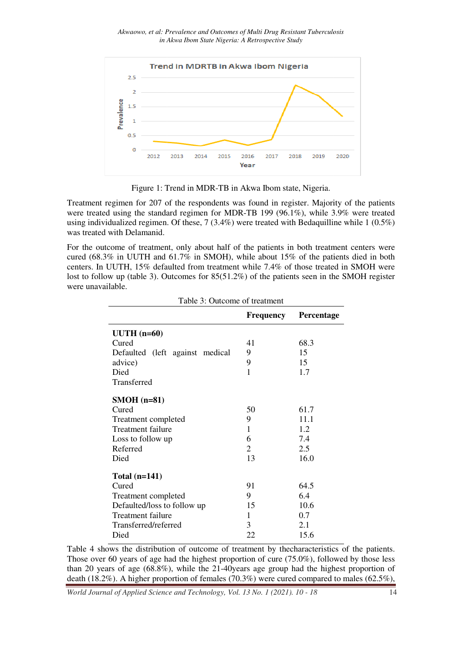

Figure 1: Trend in MDR MDR-TB in Akwa Ibom state, Nigeria.

Treatment regimen for 207 of the respondents was found in register. Majority of the patients were treated using the standard regimen for MDR-TB 199 (96.1%), while 3.9% were treated using individualized regimen. Of these, 7 (3.4%) were treated with Bedaquilline while 1 (0.5%) was treated with Delamanid.

For the outcome of treatment, only about half of the patients in both treatment centers were using individualized regimen. Of these, 7 (3.4%) were treated with Bedaquilline while 1 (0.5%) was treated with Delamanid.<br>For the outcome of treatment, only about half of the patients in both treatment centers were cured centers. In UUTH, 15% defaulted from treatment while 7.4% of those treated in SMOH were lost to follow up (table 3). Outcomes for 85(51.2%) of the patients seen in the SMOH register were unavailable. . In UUTH, 15% defaulted from treatment while 7.4% of<br>follow up (table 3). Outcomes for 85(51.2%) of the patinavailable.<br>Table 3: Outcome of treatment

|                                 | <b>Frequency</b> | Percentage |  |  |
|---------------------------------|------------------|------------|--|--|
| $UUTH$ (n=60)                   |                  |            |  |  |
| Cured                           | 41               | 68.3       |  |  |
| Defaulted (left against medical | 9                | 15         |  |  |
| advice)                         | 9                | 15         |  |  |
| Died                            | $\mathbf{1}$     | 1.7        |  |  |
| Transferred                     |                  |            |  |  |
| $SMOH$ (n=81)                   |                  |            |  |  |
| Cured                           | 50               | 61.7       |  |  |
| Treatment completed             | 9                | 11.1       |  |  |
| <b>Treatment failure</b>        | $\mathbf{1}$     | 1.2        |  |  |
| Loss to follow up               | 6                | 7.4        |  |  |
| Referred                        | $\overline{2}$   | 2.5        |  |  |
| Died                            | 13               | 16.0       |  |  |
| Total $(n=141)$                 |                  |            |  |  |
| Cured                           | 91               | 64.5       |  |  |
| Treatment completed             | 9                | 6.4        |  |  |
| Defaulted/loss to follow up     | 15               | 10.6       |  |  |
| Treatment failure               | 1                | 0.7        |  |  |
| Transferred/referred            | 3                | 2.1        |  |  |
| Died                            | 22               | 15.6       |  |  |

Table 4 shows the distribution of outcome of treatment by the characteristics of the patients. Those over 60 years of age had the highest proportion of cure (75.0%), followed by those less Table 4 shows the distribution of outcome of treatment by the characteristics of the patients.<br>Those over 60 years of age had the highest proportion of cure (75.0%), followed by those less<br>than 20 years of age (68.8%), whi death (18.2%). A higher proportion of females (70.3%) were cured compared to males (62.5%),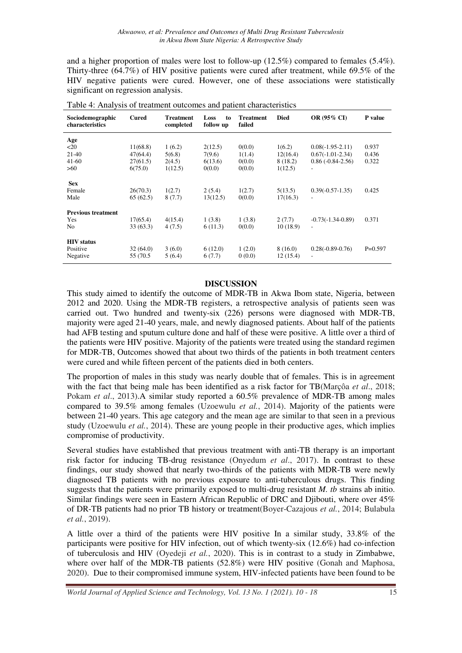and a higher proportion of males were lost to follow-up (12.5%) compared to females (5.4%). Thirty-three (64.7%) of HIV positive patients were cured after treatment, while 69.5% of the HIV negative patients were cured. However, one of these associations were statistically significant on regression analysis.

| Sociodemographic<br>characteristics | <b>Cured</b> | Treatment<br>completed | Loss<br>to<br>follow up | <b>Treatment</b><br>failed | <b>Died</b> | <b>OR (95% CI)</b>       | P value   |
|-------------------------------------|--------------|------------------------|-------------------------|----------------------------|-------------|--------------------------|-----------|
| Age                                 |              |                        |                         |                            |             |                          |           |
| $20$                                | 11(68.8)     | 1(6.2)                 | 2(12.5)                 | 0(0.0)                     | 1(6.2)      | $0.08(-1.95-2.11)$       | 0.937     |
| $21-40$                             | 47(64.4)     | 5(6.8)                 | 7(9.6)                  | 1(1.4)                     | 12(16.4)    | $0.67(-1.01-2.34)$       | 0.436     |
| $41-60$                             | 27(61.5)     | 2(4.5)                 | 6(13.6)                 | 0(0.0)                     | 8(18.2)     | $0.86(-0.84-2.56)$       | 0.322     |
| >60                                 | 6(75.0)      | 1(12.5)                | 0(0.0)                  | 0(0.0)                     | 1(12.5)     | ٠                        |           |
| <b>Sex</b>                          |              |                        |                         |                            |             |                          |           |
| Female                              | 26(70.3)     | 1(2.7)                 | 2(5.4)                  | 1(2.7)                     | 5(13.5)     | $0.39(-0.57-1.35)$       | 0.425     |
| Male                                | 65(62.5)     | 8(7.7)                 | 13(12.5)                | 0(0.0)                     | 17(16.3)    | $\overline{\phantom{a}}$ |           |
| <b>Previous treatment</b>           |              |                        |                         |                            |             |                          |           |
| Yes                                 | 17(65.4)     | 4(15.4)                | 1(3.8)                  | 1(3.8)                     | 2(7.7)      | $-0.73(-1.34-0.89)$      | 0.371     |
| N <sub>o</sub>                      | 33(63.3)     | 4(7.5)                 | 6(11.3)                 | 0(0.0)                     | 10(18.9)    | ٠                        |           |
| <b>HIV</b> status                   |              |                        |                         |                            |             |                          |           |
| Positive                            | 32(64.0)     | 3(6.0)                 | 6(12.0)                 | 1(2.0)                     | 8(16.0)     | $0.28(-0.89-0.76)$       | $P=0.597$ |
| Negative                            | 55 (70.5)    | 5(6.4)                 | 6(7.7)                  | 0(0.0)                     | 12(15.4)    | $\overline{a}$           |           |

Table 4: Analysis of treatment outcomes and patient characteristics

### **DISCUSSION**

This study aimed to identify the outcome of MDR-TB in Akwa Ibom state, Nigeria, between 2012 and 2020. Using the MDR-TB registers, a retrospective analysis of patients seen was carried out. Two hundred and twenty-six (226) persons were diagnosed with MDR-TB, majority were aged 21-40 years, male, and newly diagnosed patients. About half of the patients had AFB testing and sputum culture done and half of these were positive. A little over a third of the patients were HIV positive. Majority of the patients were treated using the standard regimen for MDR-TB, Outcomes showed that about two thirds of the patients in both treatment centers were cured and while fifteen percent of the patients died in both centers.

The proportion of males in this study was nearly double that of females. This is in agreement with the fact that being male has been identified as a risk factor for TB(Marçôa *et al*., 2018; Pokam *et al*., 2013).A similar study reported a 60.5% prevalence of MDR-TB among males compared to 39.5% among females (Uzoewulu *et al.*, 2014). Majority of the patients were between 21-40 years. This age category and the mean age are similar to that seen in a previous study (Uzoewulu *et al.*, 2014). These are young people in their productive ages, which implies compromise of productivity.

Several studies have established that previous treatment with anti-TB therapy is an important risk factor for inducing TB-drug resistance (Onyedum *et al*., 2017). In contrast to these findings, our study showed that nearly two-thirds of the patients with MDR-TB were newly diagnosed TB patients with no previous exposure to anti-tuberculous drugs. This finding suggests that the patients were primarily exposed to multi-drug resistant *M. tb* strains ab initio. Similar findings were seen in Eastern African Republic of DRC and Djibouti, where over 45% of DR-TB patients had no prior TB history or treatment(Boyer-Cazajous *et al.*, 2014; Bulabula *et al.*, 2019).

A little over a third of the patients were HIV positive In a similar study, 33.8% of the participants were positive for HIV infection, out of which twenty-six (12.6%) had co-infection of tuberculosis and HIV (Oyedeji *et al.*, 2020). This is in contrast to a study in Zimbabwe, where over half of the MDR-TB patients (52.8%) were HIV positive (Gonah and Maphosa, 2020). Due to their compromised immune system, HIV-infected patients have been found to be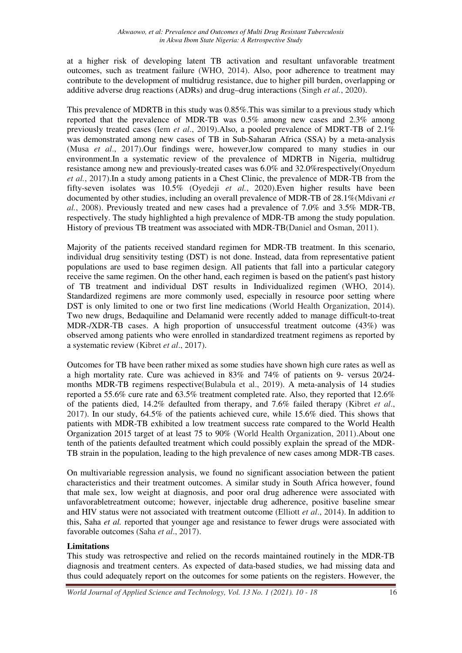at a higher risk of developing latent TB activation and resultant unfavorable treatment outcomes, such as treatment failure (WHO, 2014). Also, poor adherence to treatment may contribute to the development of multidrug resistance, due to higher pill burden, overlapping or additive adverse drug reactions (ADRs) and drug–drug interactions (Singh *et al.*, 2020).

This prevalence of MDRTB in this study was 0.85%.This was similar to a previous study which reported that the prevalence of MDR-TB was 0.5% among new cases and 2.3% among previously treated cases (Iem *et al*., 2019).Also, a pooled prevalence of MDRT-TB of 2.1% was demonstrated among new cases of TB in Sub-Saharan Africa (SSA) by a meta-analysis (Musa *et al*., 2017).Our findings were, however,low compared to many studies in our environment.In a systematic review of the prevalence of MDRTB in Nigeria, multidrug resistance among new and previously-treated cases was 6.0% and 32.0%respectively(Onyedum *et al.*, 2017).In a study among patients in a Chest Clinic, the prevalence of MDR-TB from the fifty-seven isolates was 10.5% (Oyedeji *et al.*, 2020).Even higher results have been documented by other studies, including an overall prevalence of MDR-TB of 28.1%(Mdivani *et al.*, 2008). Previously treated and new cases had a prevalence of 7.0% and 3.5% MDR-TB, respectively. The study highlighted a high prevalence of MDR-TB among the study population. History of previous TB treatment was associated with MDR-TB(Daniel and Osman, 2011).

Majority of the patients received standard regimen for MDR-TB treatment. In this scenario, individual drug sensitivity testing (DST) is not done. Instead, data from representative patient populations are used to base regimen design. All patients that fall into a particular category receive the same regimen. On the other hand, each regimen is based on the patient's past history of TB treatment and individual DST results in Individualized regimen (WHO, 2014). Standardized regimens are more commonly used, especially in resource poor setting where DST is only limited to one or two first line medications (World Health Organization, 2014). Two new drugs, Bedaquiline and Delamanid were recently added to manage difficult-to-treat MDR-/XDR-TB cases. A high proportion of unsuccessful treatment outcome (43%) was observed among patients who were enrolled in standardized treatment regimens as reported by a systematic review (Kibret *et al*., 2017).

Outcomes for TB have been rather mixed as some studies have shown high cure rates as well as a high mortality rate. Cure was achieved in 83% and 74% of patients on 9- versus 20/24 months MDR-TB regimens respective(Bulabula et al., 2019). A meta-analysis of 14 studies reported a 55.6% cure rate and 63.5% treatment completed rate. Also, they reported that 12.6% of the patients died, 14.2% defaulted from therapy, and 7.6% failed therapy (Kibret *et al*., 2017). In our study, 64.5% of the patients achieved cure, while 15.6% died. This shows that patients with MDR-TB exhibited a low treatment success rate compared to the World Health Organization 2015 target of at least 75 to 90% (World Health Organization, 2011).About one tenth of the patients defaulted treatment which could possibly explain the spread of the MDR-TB strain in the population, leading to the high prevalence of new cases among MDR-TB cases.

On multivariable regression analysis, we found no significant association between the patient characteristics and their treatment outcomes. A similar study in South Africa however, found that male sex, low weight at diagnosis, and poor oral drug adherence were associated with unfavorabletreatment outcome; however, injectable drug adherence, positive baseline smear and HIV status were not associated with treatment outcome (Elliott *et al*., 2014). In addition to this, Saha *et al.* reported that younger age and resistance to fewer drugs were associated with favorable outcomes (Saha *et al*., 2017).

## **Limitations**

This study was retrospective and relied on the records maintained routinely in the MDR-TB diagnosis and treatment centers. As expected of data-based studies, we had missing data and thus could adequately report on the outcomes for some patients on the registers. However, the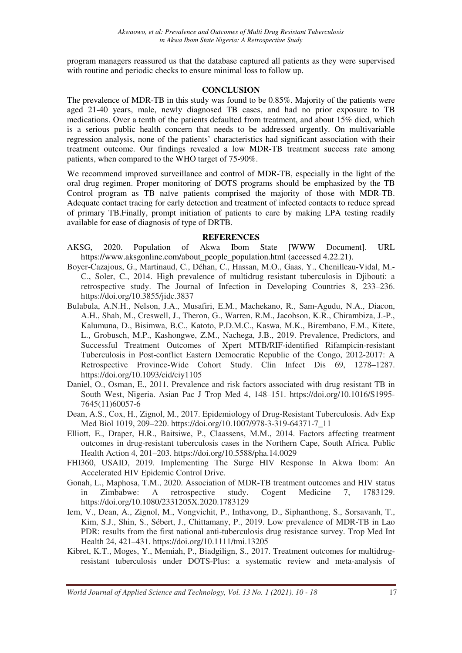program managers reassured us that the database captured all patients as they were supervised with routine and periodic checks to ensure minimal loss to follow up.

### **CONCLUSION**

The prevalence of MDR-TB in this study was found to be 0.85%. Majority of the patients were aged 21-40 years, male, newly diagnosed TB cases, and had no prior exposure to TB medications. Over a tenth of the patients defaulted from treatment, and about 15% died, which is a serious public health concern that needs to be addressed urgently. On multivariable regression analysis, none of the patients' characteristics had significant association with their treatment outcome. Our findings revealed a low MDR-TB treatment success rate among patients, when compared to the WHO target of 75-90%.

We recommend improved surveillance and control of MDR-TB, especially in the light of the oral drug regimen. Proper monitoring of DOTS programs should be emphasized by the TB Control program as TB naïve patients comprised the majority of those with MDR-TB. Adequate contact tracing for early detection and treatment of infected contacts to reduce spread of primary TB.Finally, prompt initiation of patients to care by making LPA testing readily available for ease of diagnosis of type of DRTB.

#### **REFERENCES**

- AKSG, 2020. Population of Akwa Ibom State [WWW Document]. URL https://www.aksgonline.com/about\_people\_population.html (accessed 4.22.21).
- Boyer-Cazajous, G., Martinaud, C., Déhan, C., Hassan, M.O., Gaas, Y., Chenilleau-Vidal, M.- C., Soler, C., 2014. High prevalence of multidrug resistant tuberculosis in Djibouti: a retrospective study. The Journal of Infection in Developing Countries 8, 233–236. https://doi.org/10.3855/jidc.3837
- Bulabula, A.N.H., Nelson, J.A., Musafiri, E.M., Machekano, R., Sam-Agudu, N.A., Diacon, A.H., Shah, M., Creswell, J., Theron, G., Warren, R.M., Jacobson, K.R., Chirambiza, J.-P., Kalumuna, D., Bisimwa, B.C., Katoto, P.D.M.C., Kaswa, M.K., Birembano, F.M., Kitete, L., Grobusch, M.P., Kashongwe, Z.M., Nachega, J.B., 2019. Prevalence, Predictors, and Successful Treatment Outcomes of Xpert MTB/RIF-identified Rifampicin-resistant Tuberculosis in Post-conflict Eastern Democratic Republic of the Congo, 2012-2017: A Retrospective Province-Wide Cohort Study. Clin Infect Dis 69, 1278–1287. https://doi.org/10.1093/cid/ciy1105
- Daniel, O., Osman, E., 2011. Prevalence and risk factors associated with drug resistant TB in South West, Nigeria. Asian Pac J Trop Med 4, 148–151. https://doi.org/10.1016/S1995- 7645(11)60057-6
- Dean, A.S., Cox, H., Zignol, M., 2017. Epidemiology of Drug-Resistant Tuberculosis. Adv Exp Med Biol 1019, 209–220. https://doi.org/10.1007/978-3-319-64371-7\_11
- Elliott, E., Draper, H.R., Baitsiwe, P., Claassens, M.M., 2014. Factors affecting treatment outcomes in drug-resistant tuberculosis cases in the Northern Cape, South Africa. Public Health Action 4, 201–203. https://doi.org/10.5588/pha.14.0029
- FHI360, USAID, 2019. Implementing The Surge HIV Response In Akwa Ibom: An Accelerated HIV Epidemic Control Drive.
- Gonah, L., Maphosa, T.M., 2020. Association of MDR-TB treatment outcomes and HIV status in Zimbabwe: A retrospective study. Cogent Medicine 7, 1783129. https://doi.org/10.1080/2331205X.2020.1783129
- Iem, V., Dean, A., Zignol, M., Vongvichit, P., Inthavong, D., Siphanthong, S., Sorsavanh, T., Kim, S.J., Shin, S., Sébert, J., Chittamany, P., 2019. Low prevalence of MDR-TB in Lao PDR: results from the first national anti-tuberculosis drug resistance survey. Trop Med Int Health 24, 421–431. https://doi.org/10.1111/tmi.13205
- Kibret, K.T., Moges, Y., Memiah, P., Biadgilign, S., 2017. Treatment outcomes for multidrugresistant tuberculosis under DOTS-Plus: a systematic review and meta-analysis of